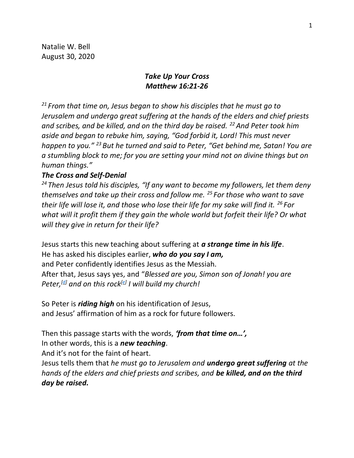Natalie W. Bell August 30, 2020

# *Take Up Your Cross Matthew 16:21-26*

*<sup>21</sup> From that time on, Jesus began to show his disciples that he must go to Jerusalem and undergo great suffering at the hands of the elders and chief priests and scribes, and be killed, and on the third day be raised. <sup>22</sup>And Peter took him aside and began to rebuke him, saying, "God forbid it, Lord! This must never happen to you." <sup>23</sup> But he turned and said to Peter, "Get behind me, Satan! You are a stumbling block to me; for you are setting your mind not on divine things but on human things."*

## *The Cross and Self-Denial*

*<sup>24</sup> Then Jesus told his disciples, "If any want to become my followers, let them deny themselves and take up their cross and follow me. <sup>25</sup> For those who want to save their life will lose it, and those who lose their life for my sake will find it. <sup>26</sup> For what will it profit them if they gain the whole world but forfeit their life? Or what will they give in return for their life?*

Jesus starts this new teaching about suffering at *a strange time in his life*. He has asked his disciples earlier, *who do you say I am,* and Peter confidently identifies Jesus as the Messiah. After that, Jesus says yes, and "*Blessed are you, Simon son of Jonah! you are Peter,[\[d\]](https://www.biblegateway.com/passage/?search=Matthew+16&version=NRSV#fen-NRSV-23691d) and on this rock[\[e\]](https://www.biblegateway.com/passage/?search=Matthew+16&version=NRSV#fen-NRSV-23691e) I will build my church!*

So Peter is *riding high* on his identification of Jesus, and Jesus' affirmation of him as a rock for future followers.

Then this passage starts with the words, *'from that time on…',* 

In other words, this is a *new teaching*.

And it's not for the faint of heart.

Jesus tells them that *he must go to Jerusalem and undergo great suffering at the hands of the elders and chief priests and scribes, and be killed, and on the third day be raised.*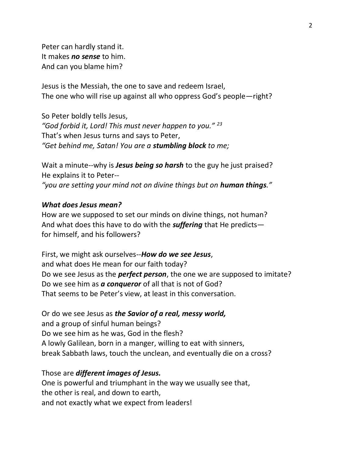Peter can hardly stand it. It makes *no sense* to him. And can you blame him?

Jesus is the Messiah, the one to save and redeem Israel, The one who will rise up against all who oppress God's people—right?

So Peter boldly tells Jesus, *"God forbid it, Lord! This must never happen to you." <sup>23</sup>* That's when Jesus turns and says to Peter, *"Get behind me, Satan! You are a stumbling block to me;* 

Wait a minute--why is *Jesus being so harsh* to the guy he just praised? He explains it to Peter--

*"you are setting your mind not on divine things but on human things."*

## *What does Jesus mean?*

How are we supposed to set our minds on divine things, not human? And what does this have to do with the *suffering* that He predicts for himself, and his followers?

First, we might ask ourselves--*How do we see Jesus*, and what does He mean for our faith today? Do we see Jesus as the *perfect person*, the one we are supposed to imitate? Do we see him as *a conqueror* of all that is not of God? That seems to be Peter's view, at least in this conversation.

Or do we see Jesus as *the Savior of a real, messy world,*  and a group of sinful human beings? Do we see him as he was, God in the flesh? A lowly Galilean, born in a manger, willing to eat with sinners, break Sabbath laws, touch the unclean, and eventually die on a cross?

# Those are *different images of Jesus.*

One is powerful and triumphant in the way we usually see that, the other is real, and down to earth, and not exactly what we expect from leaders!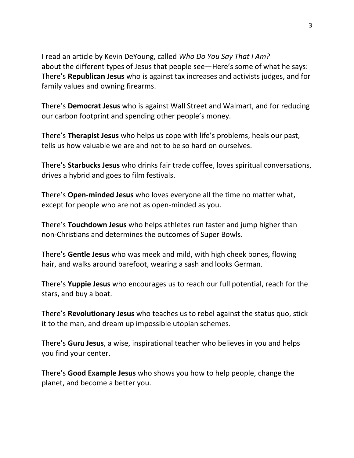I read an article by Kevin DeYoung, called *Who Do You Say That I Am?* about the different types of Jesus that people see—Here's some of what he says: There's **Republican Jesus** who is against tax increases and activists judges, and for family values and owning firearms.

There's **Democrat Jesus** who is against Wall Street and Walmart, and for reducing our carbon footprint and spending other people's money.

There's **Therapist Jesus** who helps us cope with life's problems, heals our past, tells us how valuable we are and not to be so hard on ourselves.

There's **Starbucks Jesus** who drinks fair trade coffee, loves spiritual conversations, drives a hybrid and goes to film festivals.

There's **Open-minded Jesus** who loves everyone all the time no matter what, except for people who are not as open-minded as you.

There's **Touchdown Jesus** who helps athletes run faster and jump higher than non-Christians and determines the outcomes of Super Bowls.

There's **Gentle Jesus** who was meek and mild, with high cheek bones, flowing hair, and walks around barefoot, wearing a sash and looks German.

There's **Yuppie Jesus** who encourages us to reach our full potential, reach for the stars, and buy a boat.

There's **Revolutionary Jesus** who teaches us to rebel against the status quo, stick it to the man, and dream up impossible utopian schemes.

There's **Guru Jesus**, a wise, inspirational teacher who believes in you and helps you find your center.

There's **Good Example Jesus** who shows you how to help people, change the planet, and become a better you.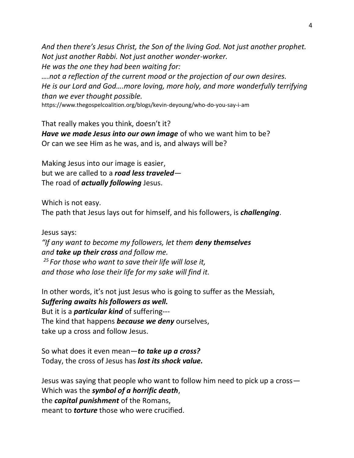*And then there's Jesus Christ, the Son of the living God. Not just another prophet. Not just another Rabbi. Not just another wonder-worker. He was the one they had been waiting for:* 

*….not a reflection of the current mood or the projection of our own desires. He is our Lord and God….more loving, more holy, and more wonderfully terrifying than we ever thought possible.*

https://www.thegospelcoalition.org/blogs/kevin-deyoung/who-do-you-say-i-am

That really makes you think, doesn't it? *Have we made Jesus into our own image* of who we want him to be? Or can we see Him as he was, and is, and always will be?

Making Jesus into our image is easier, but we are called to a *road less traveled*— The road of *actually following* Jesus.

Which is not easy.

The path that Jesus lays out for himself, and his followers, is *challenging*.

Jesus says:

*"If any want to become my followers, let them deny themselves and take up their cross and follow me. <sup>25</sup> For those who want to save their life will lose it, and those who lose their life for my sake will find it.*

In other words, it's not just Jesus who is going to suffer as the Messiah, *Suffering awaits his followers as well.* But it is a *particular kind* of suffering--- The kind that happens *because we deny* ourselves, take up a cross and follow Jesus.

So what does it even mean—*to take up a cross?* Today, the cross of Jesus has *lost its shock value.*

Jesus was saying that people who want to follow him need to pick up a cross— Which was the *symbol of a horrific death*, the *capital punishment* of the Romans, meant to *torture* those who were crucified.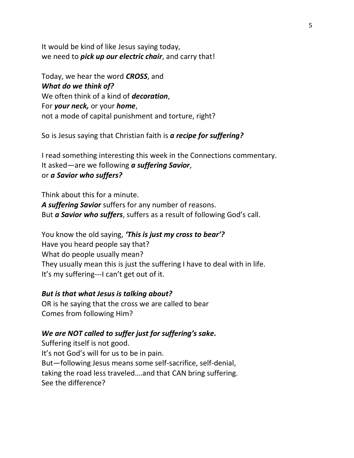It would be kind of like Jesus saying today, we need to *pick up our electric chair*, and carry that!

Today, we hear the word *CROSS*, and *What do we think of?*  We often think of a kind of *decoration*, For *your neck,* or your *home*, not a mode of capital punishment and torture, right?

So is Jesus saying that Christian faith is *a recipe for suffering?* 

I read something interesting this week in the Connections commentary. It asked—are we following *a suffering Savior*, or *a Savior who suffers?*

Think about this for a minute. *A suffering Savior* suffers for any number of reasons. But *a Savior who suffers*, suffers as a result of following God's call.

You know the old saying, *'This is just my cross to bear'?* Have you heard people say that? What do people usually mean? They usually mean this is just the suffering I have to deal with in life. It's my suffering---I can't get out of it.

#### *But is that what Jesus is talking about?*

OR is he saying that the cross we are called to bear Comes from following Him?

### *We are NOT called to suffer just for suffering's sake.*

Suffering itself is not good. It's not God's will for us to be in pain. But—following Jesus means some self-sacrifice, self-denial, taking the road less traveled….and that CAN bring suffering. See the difference?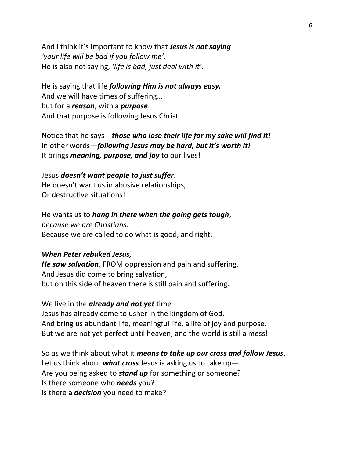And I think it's important to know that *Jesus is not saying 'your life will be bad if you follow me'.* He is also not saying, *'life is bad, just deal with it'.* 

He is saying that life *following Him is not always easy.*  And we will have times of suffering… but for a *reason*, with a *purpose*. And that purpose is following Jesus Christ.

Notice that he says---*those who lose their life for my sake will find it!* In other words—*following Jesus may be hard, but it's worth it!* It brings *meaning, purpose, and joy* to our lives!

### Jesus *doesn't want people to just suffer*.

He doesn't want us in abusive relationships, Or destructive situations!

He wants us to *hang in there when the going gets tough*, *because we are Christians*. Because we are called to do what is good, and right.

### *When Peter rebuked Jesus,*

*He saw salvation*, FROM oppression and pain and suffering. And Jesus did come to bring salvation, but on this side of heaven there is still pain and suffering.

We live in the *already and not yet* time— Jesus has already come to usher in the kingdom of God, And bring us abundant life, meaningful life, a life of joy and purpose. But we are not yet perfect until heaven, and the world is still a mess!

So as we think about what it *means to take up our cross and follow Jesus*, Let us think about *what cross* Jesus is asking us to take up— Are you being asked to *stand up* for something or someone? Is there someone who *needs* you? Is there a *decision* you need to make?